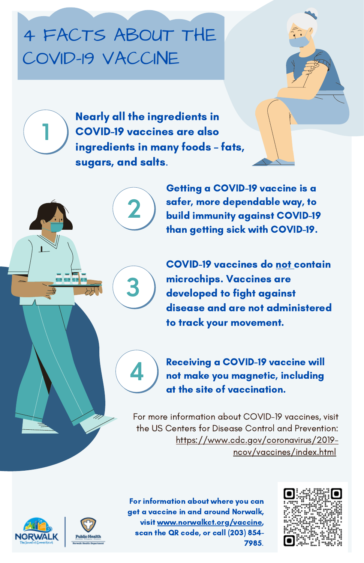## 4 FACTS ABOUT THE COVID-19 VACCINE

**1** COVID-19 vaccines are also Nearly all the ingredients in ingredients in many foods – fats, sugars, and salts.

**3**

**4**

**2** ) sater, more dependable way, to build immunity against COVID-19 Getting a COVID-19 vaccine is a safer, more dependable way, to than getting sick with COVID-19.

> COVID-19 vaccines do not contain microchips. Vaccines are developed to fight against disease and are not administered to track your movement.

Receiving a COVID-19 vaccine will not make you magnetic, including at the site of vaccination.

For more information about COVID-19 vaccines, visit the US Centers for Disease Control and [Prevention:](https://www.cdc.gov/) [https://www.cdc.gov/coronavirus/2019](https://www.cdc.gov/coronavirus/2019-ncov/vaccines/index.html) ncov/vaccines/index.html





For information about where you can get a vaccine in and around Norwalk, visit [www.norwalkct.org/vaccine](http://www.norwalkct.org/vaccine), scan the QR code, or call (203) 854- 7985.

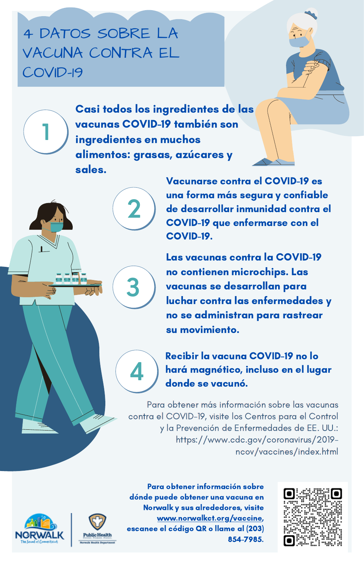## 4 DATOS SOBRE LA VACUNA CONTRA EL COVID-19

**1** ingredientes en muchos Casi todos los ingredientes de las vacunas COVID-19 también son alimentos: grasas, azúcares y sales.

**3**

**4**

2 de desarrollar inmunidad contra el Vacunarse contra el COVID-19 es una forma más segura y confiable COVID-19 que enfermarse con el COVID-19.

> Las vacunas contra la COVID-19 no contienen microchips. Las vacunas se desarrollan para luchar contra las enfermedades y no se administran para rastrear su movimiento.

> Recibir la vacuna COVID-19 no lo hará magnético, incluso en el lugar donde se vacunó.

Para obtener más información sobre las vacunas contra el COVID-19, visite los Centros para el Control y la Prevención de Enfermedades de EE. UU.: https://www.cdc.gov/coronavirus/2019 ncov/vaccines/index.html





Para obtener información sobre dónde puede obtener una vacuna en Norwalk y sus alrededores, visite [www.norwalkct.org/vaccine](http://www.norwalkct.org/vaccine), escanee el código QR o llame al (203) 854-7985.